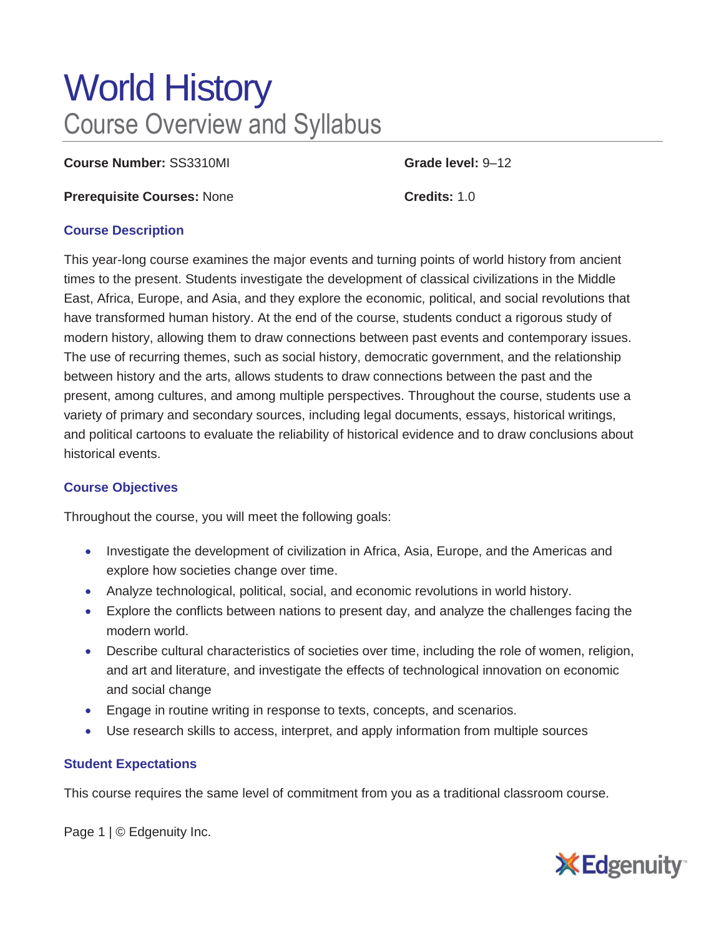# World History Course Overview and Syllabus

**Course Number:** SS3310MI **Grade level:** 9–12

**Prerequisite Courses:** None **Credits:** 1.0

#### **Course Description**

This year-long course examines the major events and turning points of world history from ancient times to the present. Students investigate the development of classical civilizations in the Middle East, Africa, Europe, and Asia, and they explore the economic, political, and social revolutions that have transformed human history. At the end of the course, students conduct a rigorous study of modern history, allowing them to draw connections between past events and contemporary issues. The use of recurring themes, such as social history, democratic government, and the relationship between history and the arts, allows students to draw connections between the past and the present, among cultures, and among multiple perspectives. Throughout the course, students use a variety of primary and secondary sources, including legal documents, essays, historical writings, and political cartoons to evaluate the reliability of historical evidence and to draw conclusions about historical events.

## **Course Objectives**

Throughout the course, you will meet the following goals:

- Investigate the development of civilization in Africa, Asia, Europe, and the Americas and explore how societies change over time.
- Analyze technological, political, social, and economic revolutions in world history.
- Explore the conflicts between nations to present day, and analyze the challenges facing the modern world.
- Describe cultural characteristics of societies over time, including the role of women, religion, and art and literature, and investigate the effects of technological innovation on economic and social change
- Engage in routine writing in response to texts, concepts, and scenarios.
- Use research skills to access, interpret, and apply information from multiple sources

## **Student Expectations**

This course requires the same level of commitment from you as a traditional classroom course.

Page 1 | © Edgenuity Inc.